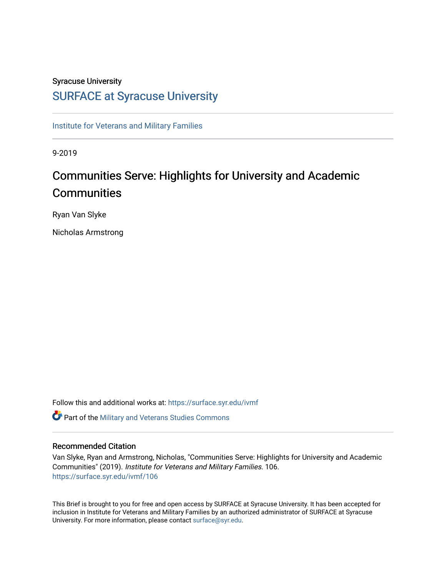## Syracuse University

## [SURFACE at Syracuse University](https://surface.syr.edu/)

[Institute for Veterans and Military Families](https://surface.syr.edu/ivmf)

9-2019

# Communities Serve: Highlights for University and Academic **Communities**

Ryan Van Slyke

Nicholas Armstrong

Follow this and additional works at: [https://surface.syr.edu/ivmf](https://surface.syr.edu/ivmf?utm_source=surface.syr.edu%2Fivmf%2F106&utm_medium=PDF&utm_campaign=PDFCoverPages) 

**C** Part of the [Military and Veterans Studies Commons](http://network.bepress.com/hgg/discipline/396?utm_source=surface.syr.edu%2Fivmf%2F106&utm_medium=PDF&utm_campaign=PDFCoverPages)

#### Recommended Citation

Van Slyke, Ryan and Armstrong, Nicholas, "Communities Serve: Highlights for University and Academic Communities" (2019). Institute for Veterans and Military Families. 106. [https://surface.syr.edu/ivmf/106](https://surface.syr.edu/ivmf/106?utm_source=surface.syr.edu%2Fivmf%2F106&utm_medium=PDF&utm_campaign=PDFCoverPages) 

This Brief is brought to you for free and open access by SURFACE at Syracuse University. It has been accepted for inclusion in Institute for Veterans and Military Families by an authorized administrator of SURFACE at Syracuse University. For more information, please contact [surface@syr.edu.](mailto:surface@syr.edu)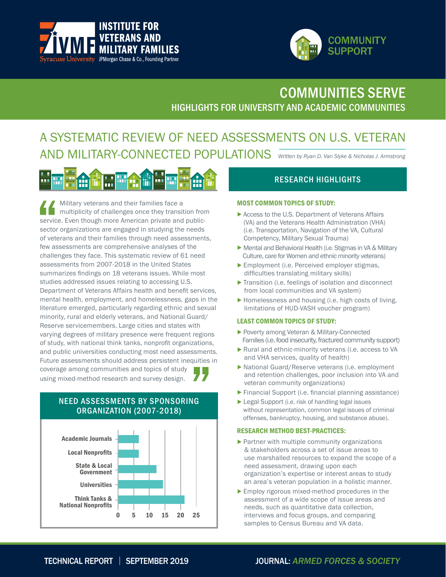



## HIGHLIGHTS FOR UNIVERSITY AND ACADEMIC COMMUNITIES COMMUNITIES SERVE

## A SYSTEMATIC REVIEW OF NEED ASSESSMENTS ON U.S. VETERAN AND MILITARY-CONNECTED POPULATIONS *Written by Ryan D. Van Slyke & Nicholas J. Armstrong*



 Military veterans and their families face a multiplicity of challenges once they transition from service. Even though more American private and publicsector organizations are engaged in studying the needs of veterans and their families through need assessments, few assessments are comprehensive analyses of the challenges they face. This systematic review of 61 need assessments from 2007-2018 in the United States summarizes findings on 18 veterans issues. While most studies addressed issues relating to accessing U.S. Department of Veterans Affairs health and benefit services, mental health, employment, and homelessness, gaps in the literature emerged, particularly regarding ethnic and sexual minority, rural and elderly veterans, and National Guard/ Reserve servicemembers. Large cities and states with varying degrees of military presence were frequent regions of study, with national think tanks, nonprofit organizations, and public universities conducting most need assessments. Future assessments should address persistent inequities in coverage among communities and topics of study using mixed-method research and survey design.

## NEED ASSESSMENTS BY SPONSORING ORGANIZATION (2007-2018)



## RESEARCH HIGHLIGHTS

#### MOST COMMON TOPICS OF STUDY:

- Access to the U.S. Department of Veterans Affairs (VA) and the Veterans Health Administration (VHA) (i.e. Transportation, Navigation of the VA, Cultural Competency, Military Sexual Trauma)
- Mental and Behavioral Health (i.e. Stigmas in VA & Military Culture, care for Women and ethnic minority veterans)
- Employment (i.e. Perceived employer stigmas, difficulties translating military skills)
- Transition (i.e. feelings of isolation and disconnect from local communities and VA system)
- Homelessness and housing (i.e. high costs of living, limitations of HUD-VASH voucher program)

#### LEAST COMMON TOPICS OF STUDY:

- Poverty among Veteran & Military-Connected Families (i.e. food insecurity, fractured community support)
- Rural and ethnic-minority veterans (i.e. access to VA and VHA services, quality of health)
- National Guard/Reserve veterans (i.e. employment and retention challenges, poor inclusion into VA and veteran community organizations)
- Financial Support (i.e. financial planning assistance)
- ▶ Legal Support (i.e. risk of handling legal issues without representation, common legal issues of criminal offenses, bankruptcy, housing, and substance abuse).

#### RESEARCH METHOD BEST-PRACTICES:

- Partner with multiple community organizations & stakeholders across a set of issue areas to use marshalled resources to expand the scope of a need assessment, drawing upon each organization's expertise or interest areas to study an area's veteran population in a holistic manner.
- Employ rigorous mixed-method procedures in the assessment of a wide scope of issue areas and needs, such as quantitative data collection, interviews and focus groups, and comparing samples to Census Bureau and VA data.